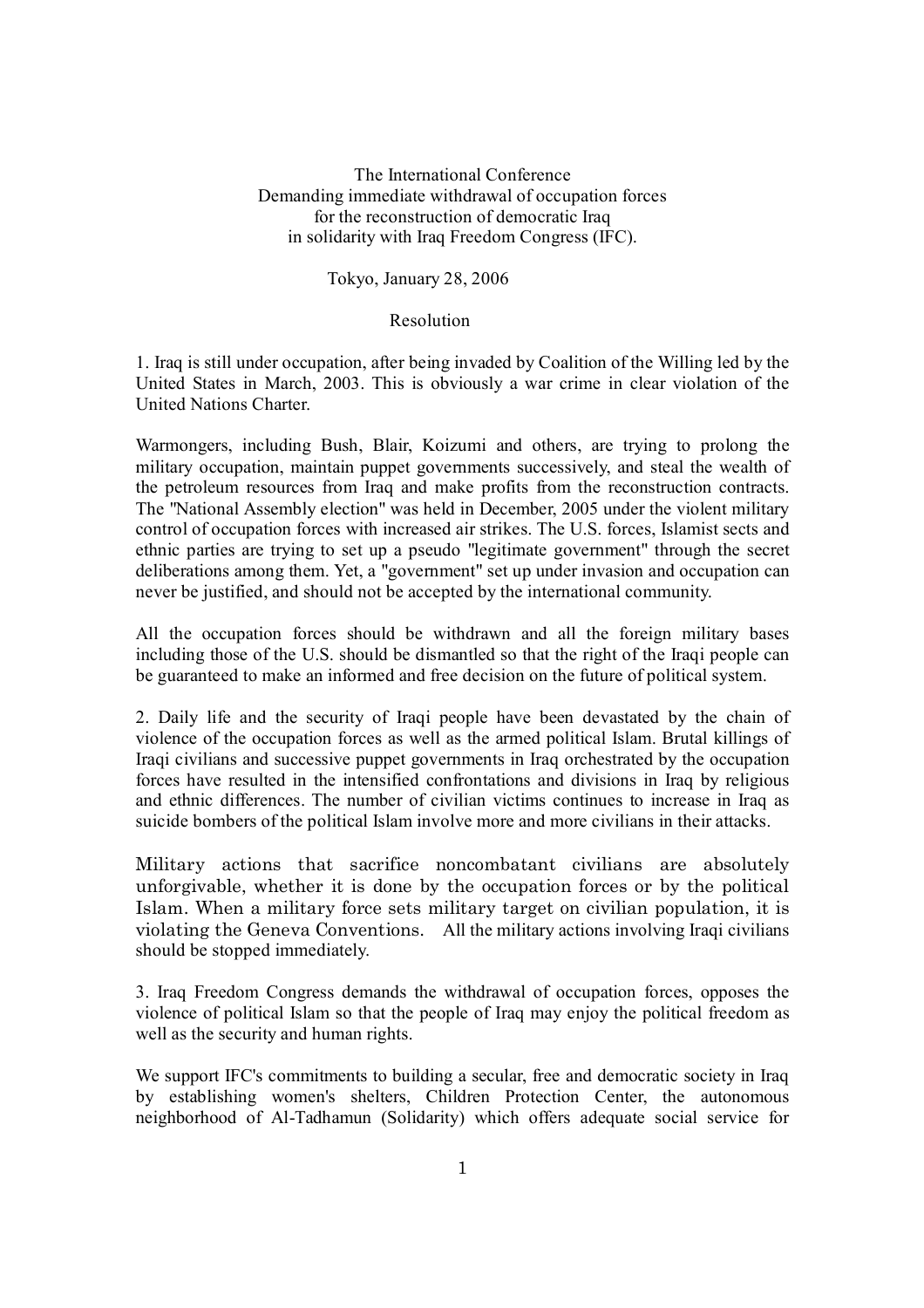The International Conference Demanding immediate withdrawal of occupation forces for the reconstruction of democratic Iraq in solidarity with Iraq Freedom Congress (IFC).

Tokyo, January 28, 2006

## Resolution

1. Iraq is still under occupation, after being invaded by Coalition of the Willing led by the United States in March, 2003. This is obviously a war crime in clear violation of the United Nations Charter.

Warmongers, including Bush, Blair, Koizumi and others, are trying to prolong the military occupation, maintain puppet governments successively, and steal the wealth of the petroleum resources from Iraq and make profits from the reconstruction contracts. The "National Assembly election" was held in December, 2005 under the violent military control of occupation forces with increased air strikes. The U.S. forces, Islamist sects and ethnic parties are trying to set up a pseudo "legitimate government" through the secret deliberations among them. Yet, a "government" set up under invasion and occupation can never be justified, and should not be accepted by the international community.

All the occupation forces should be withdrawn and all the foreign military bases including those of the U.S. should be dismantled so that the right of the Iraqi people can be guaranteed to make an informed and free decision on the future of political system.

2. Daily life and the security of Iraqi people have been devastated by the chain of violence of the occupation forces as well as the armed political Islam. Brutal killings of Iraqi civilians and successive puppet governments in Iraq orchestrated by the occupation forces have resulted in the intensified confrontations and divisions in Iraq by religious and ethnic differences. The number of civilian victims continues to increase in Iraq as suicide bombers of the political Islam involve more and more civilians in their attacks.

Military actions that sacrifice noncombatant civilians are absolutely unforgivable, whether it is done by the occupation forces or by the political Islam. When a military force sets military target on civilian population, it is violating the Geneva Conventions. All the military actions involving Iraqi civilians should be stopped immediately.

3. Iraq Freedom Congress demands the withdrawal of occupation forces, opposes the violence of political Islam so that the people of Iraq may enjoy the political freedom as well as the security and human rights.

We support IFC's commitments to building a secular, free and democratic society in Iraq by establishing women's shelters, Children Protection Center, the autonomous neighborhood of Al-Tadhamun (Solidarity) which offers adequate social service for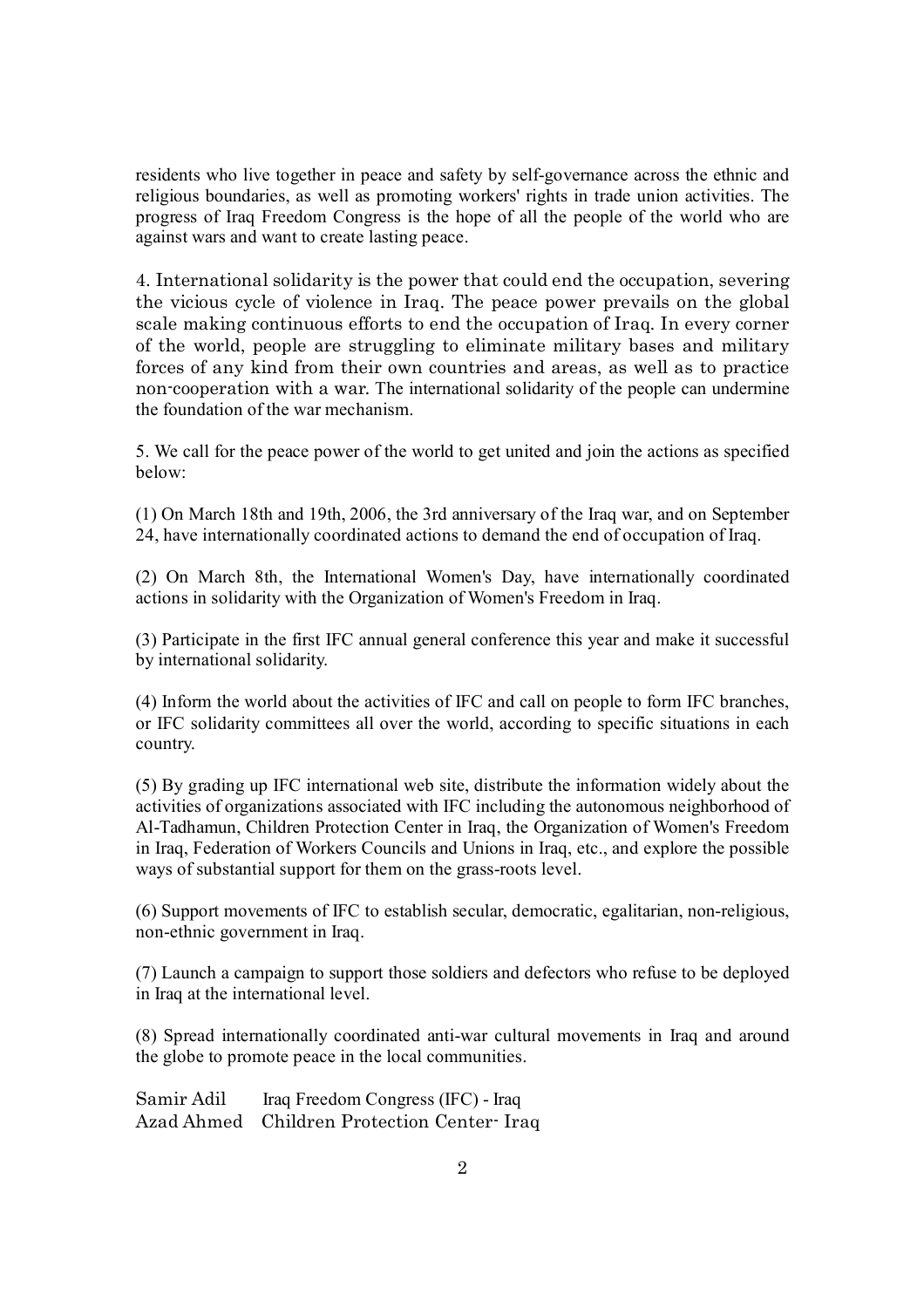residents who live together in peace and safety by self-governance across the ethnic and religious boundaries, as well as promoting workers' rights in trade union activities. The progress of Iraq Freedom Congress is the hope of all the people of the world who are against wars and want to create lasting peace.

4. International solidarity is the power that could end the occupation, severing the vicious cycle of violence in Iraq. The peace power prevails on the global scale making continuous efforts to end the occupation of Iraq. In every corner of the world, people are struggling to eliminate military bases and military forces of any kind from their own countries and areas, as well as to practice non-cooperation with a war. The international solidarity of the people can undermine the foundation of the war mechanism.

5. We call for the peace power of the world to get united and join the actions as specified below:

(1) On March 18th and 19th, 2006, the 3rd anniversary of the Iraq war, and on September 24, have internationally coordinated actions to demand the end of occupation of Iraq.

(2) On March 8th, the International Women's Day, have internationally coordinated actions in solidarity with the Organization of Women's Freedom in Iraq.

(3) Participate in the first IFC annual general conference this year and make it successful by international solidarity.

(4) Inform the world about the activities of IFC and call on people to form IFC branches, or IFC solidarity committees all over the world, according to specific situations in each country.

(5) By grading up IFC international web site, distribute the information widely about the activities of organizations associated with IFC including the autonomous neighborhood of Al-Tadhamun, Children Protection Center in Iraq, the Organization of Women's Freedom in Iraq, Federation of Workers Councils and Unions in Iraq, etc., and explore the possible ways of substantial support for them on the grass-roots level.

(6) Support movements of IFC to establish secular, democratic, egalitarian, non-religious, non-ethnic government in Iraq.

(7) Launch a campaign to support those soldiers and defectors who refuse to be deployed in Iraq at the international level.

(8) Spread internationally coordinated anti-war cultural movements in Iraq and around the globe to promote peace in the local communities.

Samir Adil Iraq Freedom Congress (IFC) - Iraq Azad Ahmed Children Protection Center- Iraq